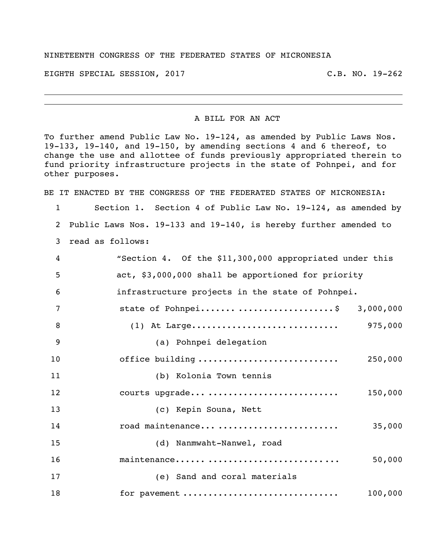## NINETEENTH CONGRESS OF THE FEDERATED STATES OF MICRONESIA

EIGHTH SPECIAL SESSION, 2017 C.B. NO. 19-262

## A BILL FOR AN ACT

To further amend Public Law No. 19-124, as amended by Public Laws Nos. 19-133, 19-140, and 19-150, by amending sections 4 and 6 thereof, to change the use and allottee of funds previously appropriated therein to fund priority infrastructure projects in the state of Pohnpei, and for other purposes.

BE IT ENACTED BY THE CONGRESS OF THE FEDERATED STATES OF MICRONESIA:

 Section 1. Section 4 of Public Law No. 19-124, as amended by Public Laws Nos. 19-133 and 19-140, is hereby further amended to read as follows:

| 4  | "Section 4. Of the \$11,300,000 appropriated under this |
|----|---------------------------------------------------------|
| 5  | act, \$3,000,000 shall be apportioned for priority      |
| 6  | infrastructure projects in the state of Pohnpei.        |
| 7  | state of Pohnpei \$ 3,000,000                           |
| 8  | 975,000                                                 |
| 9  | (a) Pohnpei delegation                                  |
| 10 | office building<br>250,000                              |
| 11 | (b) Kolonia Town tennis                                 |
| 12 | courts upgrade<br>150,000                               |
| 13 | (c) Kepin Souna, Nett                                   |
| 14 | road maintenance<br>35,000                              |
| 15 | (d) Nanmwaht-Nanwel, road                               |
| 16 | maintenance<br>50,000                                   |
| 17 | (e) Sand and coral materials                            |
| 18 | for pavement<br>100,000                                 |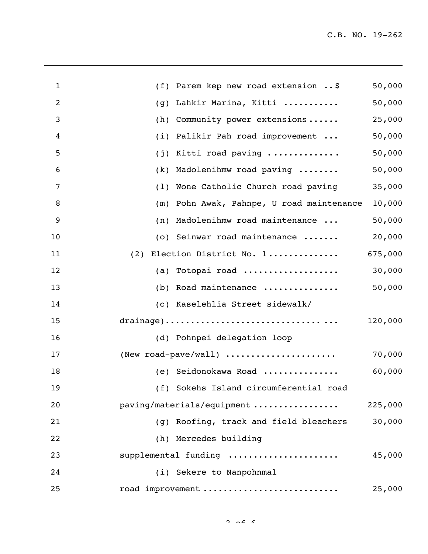| $\mathbf{1}$   | (f) Parem kep new road extension $\ldots$ \$ | 50,000  |
|----------------|----------------------------------------------|---------|
| $\overline{2}$ | Lahkir Marina, Kitti<br>(g)                  | 50,000  |
| 3              | Community power extensions<br>(h)            | 25,000  |
| 4              | Palikir Pah road improvement<br>(i)          | 50,000  |
| 5              | Kitti road paving<br>(j)                     | 50,000  |
| 6              | Madolenihmw road paving<br>(k)               | 50,000  |
| 7              | Wone Catholic Church road paving<br>(1)      | 35,000  |
| 8              | Pohn Awak, Pahnpe, U road maintenance<br>(m) | 10,000  |
| 9              | (n) Madolenihmw road maintenance             | 50,000  |
| 10             | (o) Seinwar road maintenance                 | 20,000  |
| 11             | (2) Election District No. 1                  | 675,000 |
| 12             | (a) Totopai road                             | 30,000  |
| 13             | (b) Road maintenance                         | 50,000  |
| 14             | (c) Kaselehlia Street sidewalk/              |         |
| 15             |                                              | 120,000 |
| 16             | (d) Pohnpei delegation loop                  |         |
| 17             | (New road-pave/wall)                         | 70,000  |
| 18             | (e) Seidonokawa Road                         | 60,000  |
| 19             | (f) Sokehs Island circumferential road       |         |
| 20             | paving/materials/equipment                   | 225,000 |
| 21             | Roofing, track and field bleachers<br>(q)    | 30,000  |
| 22             | (h) Mercedes building                        |         |
| 23             | supplemental funding                         | 45,000  |
| 24             | (i) Sekere to Nanpohnmal                     |         |
| 25             | road improvement                             | 25,000  |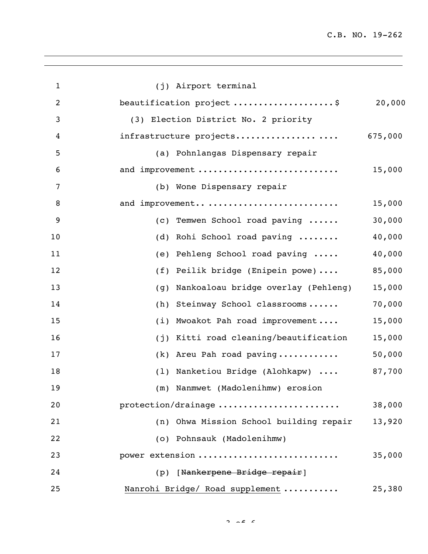| $\mathbf{1}$   | (j) Airport terminal                       |         |
|----------------|--------------------------------------------|---------|
| $\overline{2}$ | beautification project \$                  | 20,000  |
| 3              | (3) Election District No. 2 priority       |         |
| 4              | infrastructure projects                    | 675,000 |
| 5              | (a) Pohnlangas Dispensary repair           |         |
| 6              | and improvement                            | 15,000  |
| $\overline{7}$ | (b) Wone Dispensary repair                 |         |
| 8              | and improvement                            | 15,000  |
| 9              | (c) Temwen School road paving              | 30,000  |
| 10             | (d) Rohi School road paving                | 40,000  |
| 11             | (e) Pehleng School road paving             | 40,000  |
| 12             | (f) Peilik bridge (Enipein powe)           | 85,000  |
| 13             | Nankoaloau bridge overlay (Pehleng)<br>(g) | 15,000  |
| 14             | Steinway School classrooms<br>(h)          | 70,000  |
| 15             | Mwoakot Pah road improvement<br>(i)        | 15,000  |
| 16             | Kitti road cleaning/beautification<br>(j)  | 15,000  |
| 17             | (k) Areu Pah road paving                   | 50,000  |
| 18             | (1) Nanketiou Bridge (Alohkapw)            | 87,700  |
| 19             | (m) Nanmwet (Madolenihmw) erosion          |         |
| 20             | protection/drainage                        | 38,000  |
| 21             | (n) Ohwa Mission School building repair    | 13,920  |
| 22             | (o) Pohnsauk (Madolenihmw)                 |         |
| 23             | power extension                            | 35,000  |
| 24             | (p) [Nankerpene Bridge repair]             |         |
| 25             | Nanrohi Bridge/ Road supplement            | 25,380  |

 $2 \times 2 \times 6$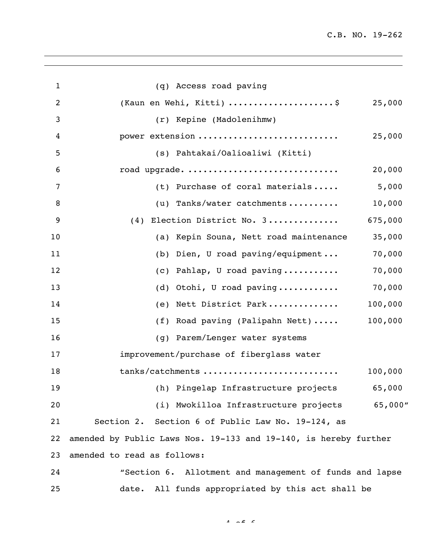| $\mathbf{1}$   | (q) Access road paving                                           |         |
|----------------|------------------------------------------------------------------|---------|
| $\overline{2}$ | (Kaun en Wehi, Kitti) \$                                         | 25,000  |
| 3              | (r) Kepine (Madolenihmw)                                         |         |
| 4              | power extension                                                  | 25,000  |
| 5              | (s) Pahtakai/Oalioaliwi (Kitti)                                  |         |
| 6              | road upgrade.                                                    | 20,000  |
| 7              | (t) Purchase of coral materials                                  | 5,000   |
| 8              | (u) Tanks/water catchments                                       | 10,000  |
| 9              | (4) Election District No. 3<br>675,000                           |         |
| 10             | (a) Kepin Souna, Nett road maintenance                           | 35,000  |
| 11             | (b) Dien, U road paving/equipment                                | 70,000  |
| 12             | (c) Pahlap, U road paving                                        | 70,000  |
| 13             | (d) Otohi, U road paving                                         | 70,000  |
| 14             | (e) Nett District Park<br>100,000                                |         |
| 15             | (f) Road paving (Palipahn Nett)<br>100,000                       |         |
| 16             | (g) Parem/Lenger water systems                                   |         |
| 17             | improvement/purchase of fiberglass water                         |         |
| 18             | tanks/catchments<br>100,000                                      |         |
| 19             | (h) Pingelap Infrastructure projects                             | 65,000  |
| 20             | (i) Mwokilloa Infrastructure projects                            | 65,000" |
| 21             | Section 2. Section 6 of Public Law No. 19-124, as                |         |
| 22             | amended by Public Laws Nos. 19-133 and 19-140, is hereby further |         |
| 23             | amended to read as follows:                                      |         |
| 24             | "Section 6. Allotment and management of funds and lapse          |         |
| 25             | All funds appropriated by this act shall be<br>date.             |         |

 $A \cap A = C$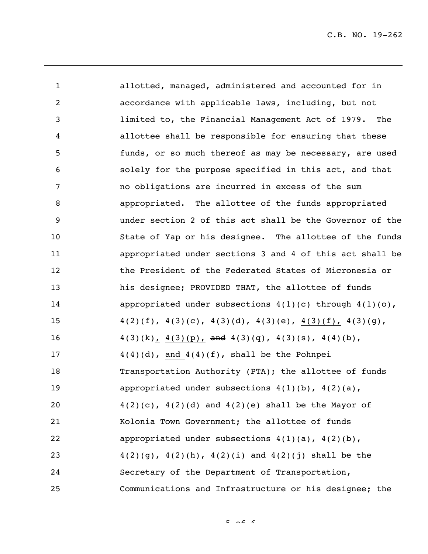| $\mathbf{1}$      | allotted, managed, administered and accounted for in            |
|-------------------|-----------------------------------------------------------------|
| $\overline{2}$    | accordance with applicable laws, including, but not             |
| 3                 | limited to, the Financial Management Act of 1979. The           |
| 4                 | allottee shall be responsible for ensuring that these           |
| 5                 | funds, or so much thereof as may be necessary, are used         |
| 6                 | solely for the purpose specified in this act, and that          |
| 7                 | no obligations are incurred in excess of the sum                |
| 8                 | appropriated. The allottee of the funds appropriated            |
| 9                 | under section 2 of this act shall be the Governor of the        |
| 10                | State of Yap or his designee. The allottee of the funds         |
| 11                | appropriated under sections 3 and 4 of this act shall be        |
| $12 \overline{ }$ | the President of the Federated States of Micronesia or          |
| 13                | his designee; PROVIDED THAT, the allottee of funds              |
| 14                | appropriated under subsections $4(1)(c)$ through $4(1)(o)$ ,    |
| 15                | $4(2)(f), 4(3)(c), 4(3)(d), 4(3)(e), 4(3)(f), 4(3)(g),$         |
| 16                | $4(3)(k)$ , $4(3)(p)$ , and $4(3)(q)$ , $4(3)(s)$ , $4(4)(b)$ , |
| 17                | $4(4)(d)$ , and $4(4)(f)$ , shall be the Pohnpei                |
| 18                | Transportation Authority (PTA); the allottee of funds           |
| 19                | appropriated under subsections $4(1)(b)$ , $4(2)(a)$ ,          |
| 20                | $4(2)(c)$ , $4(2)(d)$ and $4(2)(e)$ shall be the Mayor of       |
| 21                | Kolonia Town Government; the allottee of funds                  |
| 22                | appropriated under subsections $4(1)(a)$ , $4(2)(b)$ ,          |
| 23                | $4(2)(g)$ , $4(2)(h)$ , $4(2)(i)$ and $4(2)(j)$ shall be the    |
| 24                | Secretary of the Department of Transportation,                  |
| 25                | Communications and Infrastructure or his designee; the          |

 $F = \sqrt{2}$